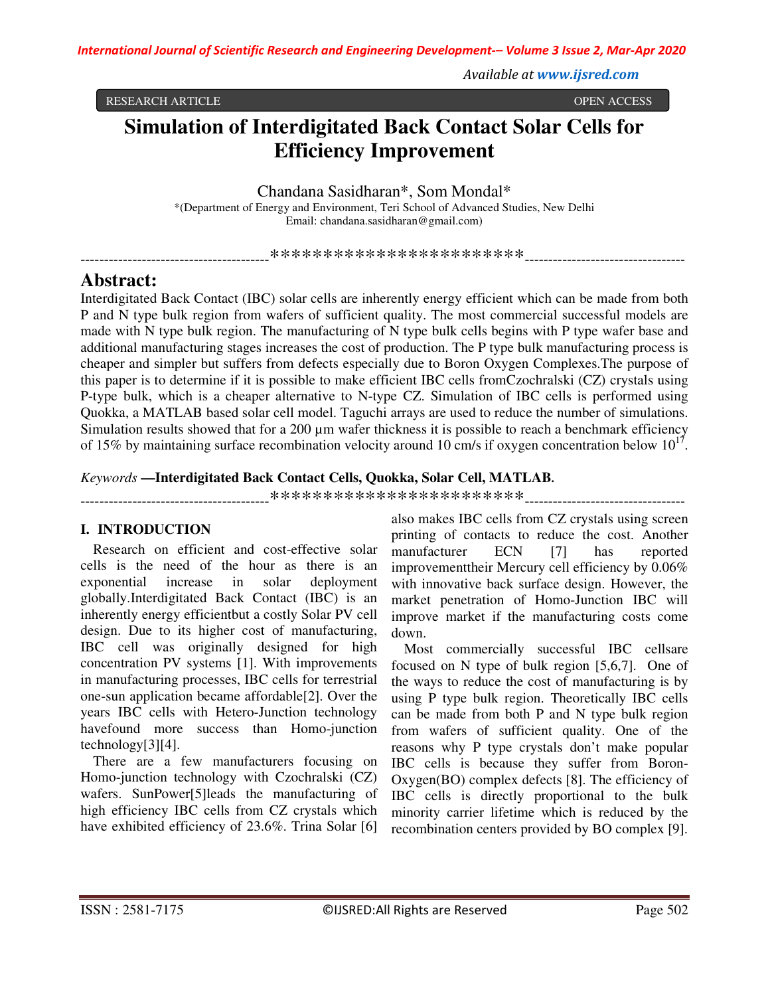*Available at www.ijsred.com*

RESEARCH ARTICLE OPEN ACCESS

# **Simulation of Interdigitated Back Contact Solar Cells for Efficiency Improvement**

Chandana Sasidharan\*, Som Mondal\*

\*(Department of Energy and Environment, Teri School of Advanced Studies, New Delhi Email: chandana.sasidharan@gmail.com)

----------------------------------------\*\*\*\*\*\*\*\*\*\*\*\*\*\*\*\*\*\*\*\*\*\*\*\*----------------------------------

# **Abstract:**

Interdigitated Back Contact (IBC) solar cells are inherently energy efficient which can be made from both P and N type bulk region from wafers of sufficient quality. The most commercial successful models are made with N type bulk region. The manufacturing of N type bulk cells begins with P type wafer base and additional manufacturing stages increases the cost of production. The P type bulk manufacturing process is cheaper and simpler but suffers from defects especially due to Boron Oxygen Complexes.The purpose of this paper is to determine if it is possible to make efficient IBC cells fromCzochralski (CZ) crystals using P-type bulk, which is a cheaper alternative to N-type CZ. Simulation of IBC cells is performed using Quokka, a MATLAB based solar cell model. Taguchi arrays are used to reduce the number of simulations. Simulation results showed that for a 200  $\mu$ m wafer thickness it is possible to reach a benchmark efficiency of 15% by maintaining surface recombination velocity around 10 cm/s if oxygen concentration below  $10^{17}$ .

### *Keywords* **—Interdigitated Back Contact Cells, Quokka, Solar Cell, MATLAB.**

----------------------------------------\*\*\*\*\*\*\*\*\*\*\*\*\*\*\*\*\*\*\*\*\*\*\*\*----------------------------------

# **I. INTRODUCTION**

Research on efficient and cost-effective solar cells is the need of the hour as there is an exponential increase in solar deployment globally.Interdigitated Back Contact (IBC) is an inherently energy efficientbut a costly Solar PV cell design. Due to its higher cost of manufacturing, IBC cell was originally designed for high concentration PV systems [1]. With improvements in manufacturing processes, IBC cells for terrestrial one-sun application became affordable[2]. Over the years IBC cells with Hetero-Junction technology havefound more success than Homo-junction technology[3][4].

There are a few manufacturers focusing on Homo-junction technology with Czochralski (CZ) wafers. SunPower[5]leads the manufacturing of high efficiency IBC cells from CZ crystals which have exhibited efficiency of 23.6%. Trina Solar [6]

also makes IBC cells from CZ crystals using screen printing of contacts to reduce the cost. Another manufacturer ECN [7] has reported improvementtheir Mercury cell efficiency by 0.06% with innovative back surface design. However, the market penetration of Homo-Junction IBC will improve market if the manufacturing costs come down.

Most commercially successful IBC cellsare focused on N type of bulk region [5,6,7]. One of the ways to reduce the cost of manufacturing is by using P type bulk region. Theoretically IBC cells can be made from both P and N type bulk region from wafers of sufficient quality. One of the reasons why P type crystals don't make popular IBC cells is because they suffer from Boron-Oxygen(BO) complex defects [8]. The efficiency of IBC cells is directly proportional to the bulk minority carrier lifetime which is reduced by the recombination centers provided by BO complex [9].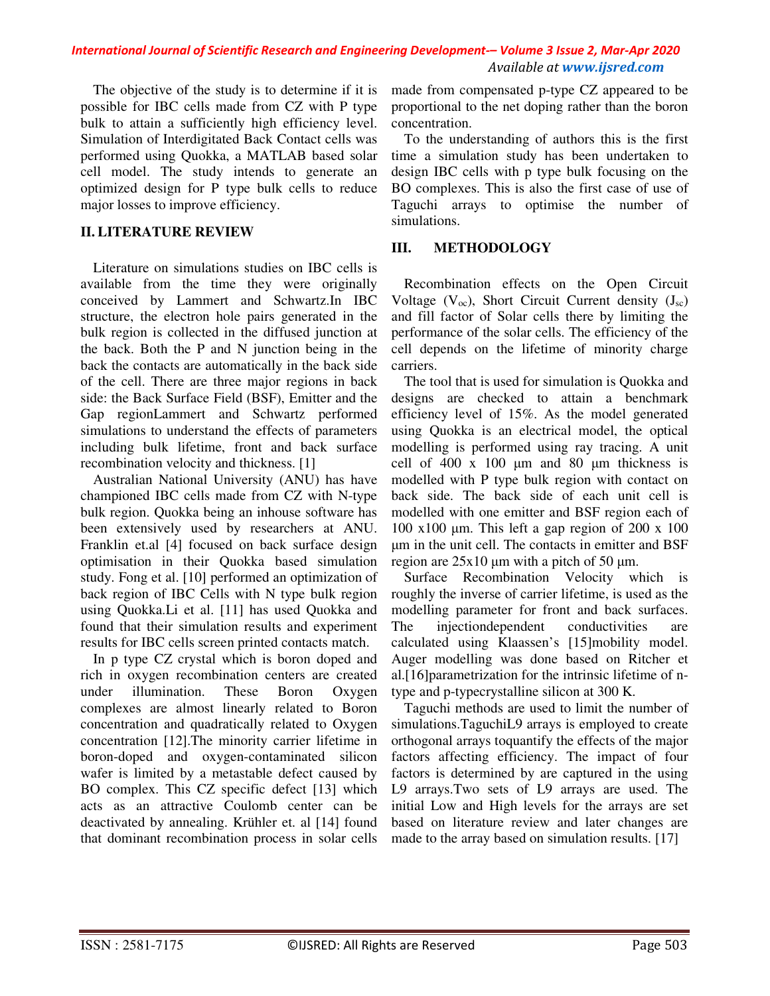## *International Journal of Scientific Research and Engineering Development-– Volume 3 Issue 2, Mar-Apr 2020 Available at www.ijsred.com*

The objective of the study is to determine if it is possible for IBC cells made from CZ with P type bulk to attain a sufficiently high efficiency level. Simulation of Interdigitated Back Contact cells was performed using Quokka, a MATLAB based solar cell model. The study intends to generate an optimized design for P type bulk cells to reduce major losses to improve efficiency.

# **II. LITERATURE REVIEW**

Literature on simulations studies on IBC cells is available from the time they were originally conceived by Lammert and Schwartz.In IBC structure, the electron hole pairs generated in the bulk region is collected in the diffused junction at the back. Both the P and N junction being in the back the contacts are automatically in the back side of the cell. There are three major regions in back side: the Back Surface Field (BSF), Emitter and the Gap regionLammert and Schwartz performed simulations to understand the effects of parameters including bulk lifetime, front and back surface recombination velocity and thickness. [1]

Australian National University (ANU) has have championed IBC cells made from CZ with N-type bulk region. Quokka being an inhouse software has been extensively used by researchers at ANU. Franklin et.al [4] focused on back surface design optimisation in their Quokka based simulation study. Fong et al. [10] performed an optimization of back region of IBC Cells with N type bulk region using Quokka.Li et al. [11] has used Quokka and found that their simulation results and experiment results for IBC cells screen printed contacts match.

In p type CZ crystal which is boron doped and rich in oxygen recombination centers are created under illumination. These Boron Oxygen complexes are almost linearly related to Boron concentration and quadratically related to Oxygen concentration [12].The minority carrier lifetime in boron-doped and oxygen-contaminated silicon wafer is limited by a metastable defect caused by BO complex. This CZ specific defect [13] which acts as an attractive Coulomb center can be deactivated by annealing. Krühler et. al [14] found that dominant recombination process in solar cells

made from compensated p-type CZ appeared to be proportional to the net doping rather than the boron concentration.

To the understanding of authors this is the first time a simulation study has been undertaken to design IBC cells with p type bulk focusing on the BO complexes. This is also the first case of use of Taguchi arrays to optimise the number of simulations.

# **III. METHODOLOGY**

Recombination effects on the Open Circuit Voltage  $(V_{oc})$ , Short Circuit Current density  $(J_{sc})$ and fill factor of Solar cells there by limiting the performance of the solar cells. The efficiency of the cell depends on the lifetime of minority charge carriers.

The tool that is used for simulation is Quokka and designs are checked to attain a benchmark efficiency level of 15%. As the model generated using Quokka is an electrical model, the optical modelling is performed using ray tracing. A unit cell of 400 x 100 µm and 80 µm thickness is modelled with P type bulk region with contact on back side. The back side of each unit cell is modelled with one emitter and BSF region each of 100 x100  $\mu$ m. This left a gap region of 200 x 100 µm in the unit cell. The contacts in emitter and BSF region are  $25x10 \mu m$  with a pitch of 50  $\mu$ m.

Surface Recombination Velocity which is roughly the inverse of carrier lifetime, is used as the modelling parameter for front and back surfaces. The injectiondependent conductivities are calculated using Klaassen's [15]mobility model. Auger modelling was done based on Ritcher et al.[16]parametrization for the intrinsic lifetime of ntype and p-typecrystalline silicon at 300 K.

Taguchi methods are used to limit the number of simulations.TaguchiL9 arrays is employed to create orthogonal arrays toquantify the effects of the major factors affecting efficiency. The impact of four factors is determined by are captured in the using L9 arrays.Two sets of L9 arrays are used. The initial Low and High levels for the arrays are set based on literature review and later changes are made to the array based on simulation results. [17]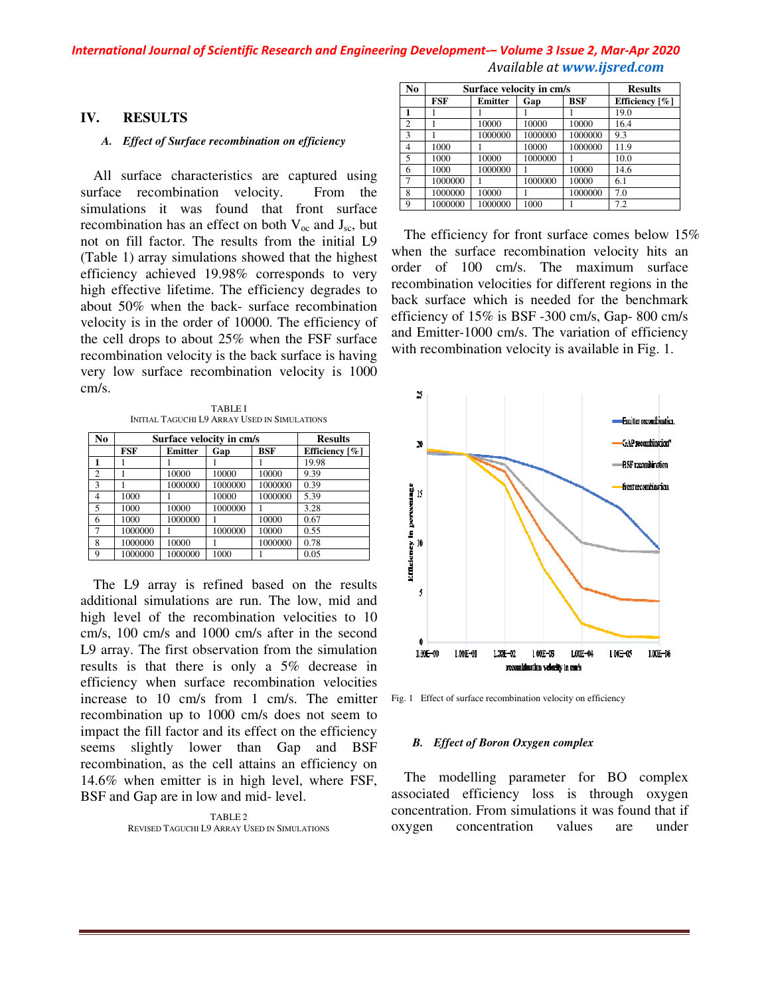### *International Journal of Scientific Research and Engineering Development Engineering Development-– Volume 3 Issue 2 2, Mar-Apr 2020 Available at www.ijsred.com*

### **IV. RESULTS**

#### *A. Effect of Surface recombination on efficiency*

All surface characteristics are captured using surface recombination velocity. From the simulations it was found that front surface recombination has an effect on both  $V_{\infty}$  and  $J_{\infty}$ , but not on fill factor. The results from the initial L9 (Table 1) array simulations showed that the highest efficiency achieved 19.98% corresponds to very high effective lifetime. The efficiency degrades to about 50% when the back- surface recombination velocity is in the order of 10000. The efficiency of the cell drops to about 25% when the FSF surface recombination velocity is the back surface is having very low surface recombination velocity is 1000 cm/s. *Effect of Surface recombination on efficiency*<br>surface characteristics are captured using<br>recombination velocity. From the mital L9<br>b fill factor. The results from the initial L9<br>1) array simulations showed that the high lifetime. The efficiency degrades to<br>len the back- surface recombination<br>he order of 10000. The efficiency of<br>to about 25% when the FSF surface<br>velocity is the back surface is having<br>ace recombination velocity is 1000

TABLE I INITIAL TAGUCHI L9 ARRAY USED IN SIMULATIONS

| N <sub>0</sub> | Surface velocity in cm/s | <b>Results</b> |         |            |                               |
|----------------|--------------------------|----------------|---------|------------|-------------------------------|
|                | FSF                      | Emitter        | Gap     | <b>BSF</b> | Efficiency $\lceil \% \rceil$ |
|                |                          |                |         |            | 19.98                         |
| $\overline{c}$ |                          | 10000          | 10000   | 10000      | 9.39                          |
| 3              |                          | 1000000        | 1000000 | 1000000    | 0.39                          |
| $\overline{4}$ | 1000                     |                | 10000   | 1000000    | 5.39                          |
| 5              | 1000                     | 10000          | 1000000 |            | 3.28                          |
| 6              | 1000                     | 1000000        |         | 10000      | 0.67                          |
| 7              | 1000000                  |                | 1000000 | 10000      | 0.55                          |
| 8              | 1000000                  | 10000          |         | 1000000    | 0.78                          |
| 9              | 1000000                  | 1000000        | 1000    |            | 0.05                          |

The L9 array is refined based on the results additional simulations are run. The low, mid and high level of the recombination velocities to 10 cm/s, 100 cm/s and 1000 cm/s after in the second L9 array. The first observation from the simulation results is that there is only a 5% decrease in efficiency when surface recombination velocities increase to 10 cm/s from 1 cm/s. The emitter recombination up to 1000 cm/s does not seem to impact the fill factor and its effect on the efficiency seems slightly lower than Gap and BSF recombination, as the cell attains an efficiency on 14.6% when emitter is in high level, where FSF, BSF and Gap are in low and mid- level.

> TABLE 2 REVISED TAGUCHI L9 ARRAY USED IN SIMULATIONS

| N <sub>0</sub> | Surface velocity in cm/s | <b>Results</b> |         |         |                |
|----------------|--------------------------|----------------|---------|---------|----------------|
|                | FSF                      | <b>Emitter</b> | Gap     | BSF     | Efficiency [%] |
| 1              |                          |                |         |         | 19.0           |
| $\overline{2}$ |                          | 10000          | 10000   | 10000   | 16.4           |
| 3              |                          | 1000000        | 1000000 | 1000000 | 9.3            |
| 4              | 1000                     |                | 10000   | 1000000 | 11.9           |
| 5              | 1000                     | 10000          | 1000000 |         | 10.0           |
| 6              | 1000                     | 1000000        |         | 10000   | 14.6           |
| 7              | 1000000                  |                | 1000000 | 10000   | 6.1            |
| 8              | 1000000                  | 10000          |         | 1000000 | 7.0            |
| 9              | 1000000                  | 1000000        | 1000    |         | 7.2            |

The efficiency for front surface comes below 15% when the surface recombination velocity hits an order of 100 cm/s. The maximum surface recombination velocities for different regions in the back surface which is needed for the benchmark efficiency of 15% is BSF -300 cm/s, Gap and Emitter-1000 cm/s. The variation of efficiency with recombination velocity is available in Fig. 1. The efficiency for front surface comes below 15% when the surface recombination velocity hits an order of 100 cm/s. The maximum surface recombination velocities for different regions in the back surface which is needed for



Fig. 1 Effect of surface recombination velocity on efficiency

#### *B. Effect of Boron Oxygen complex*

The modelling parameter for BO complex associated efficiency loss is through oxygen concentration. From simulations it was found that oxygen concentration values The modelling parameter for BO complex<br>associated efficiency loss is through oxygen<br>concentration. From simulations it was found that if are under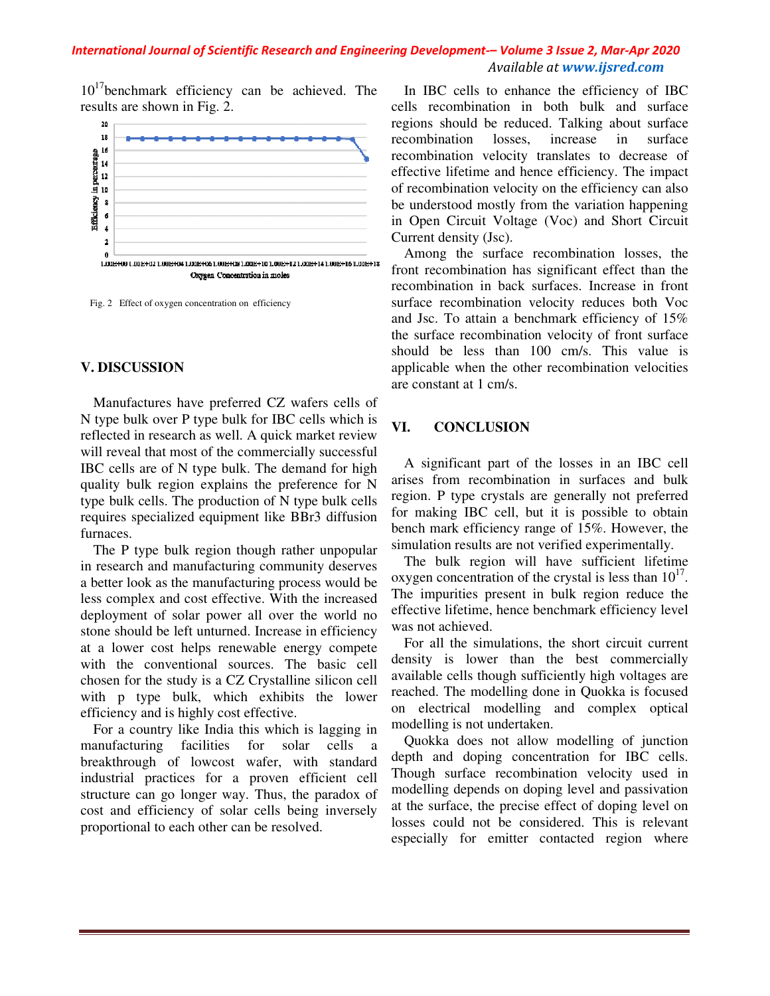### *International Journal of Scientific Research and Engineering Development Engineering Development-– Volume 3 Issue 2 2, Mar-Apr 2020 Available at www.ijsred.com*

 $10^{17}$ benchmark efficiency can be achieved. The results are shown in Fig. 2.



Fig. 2 Effect of oxygen concentration on efficiency

### **V. DISCUSSION**

Manufactures have preferred CZ wafers cells of N type bulk over P type bulk for IBC cells which is reflected in research as well. A quick market review will reveal that most of the commercially successful IBC cells are of N type bulk. The demand for high quality bulk region explains the preference for N type bulk cells. The production of N type bulk cells type bulk cells. The production of N type bulk cells<br>requires specialized equipment like BBr3 diffusion furnaces.

The P type bulk region though rather unpopular in research and manufacturing community deserves a better look as the manufacturing process would be less complex and cost effective. With the increased The P type bulk region though rather unpopular<br>in research and manufacturing community deserves<br>a better look as the manufacturing process would be<br>less complex and cost effective. With the increased<br>deployment of solar po stone should be left unturned. Increase in efficiency at a lower cost helps renewable energy compete with the conventional sources. The basic cell chosen for the study is a CZ Crystalline silicon cell with p type bulk, which exhibits the lower efficiency and is highly cost effective. achieved. The<br>
re<br>
re<br>
re<br>
re<br>
en<br>
on<br>
re<br>
re<br>
on<br>
b ir<br>
ir<br>
re<br>
com<br>
b ir<br>
re<br>
com<br>
b ir<br>
ir<br>
com<br>
b ir<br>
ir<br>
com<br>
and the single and the single surface for N and and and the singly successful<br>
mand for high<br>
ference for N

For a country like India this which is lagging in manufacturing facilities for solar cells a breakthrough of lowcost wafer, with standard industrial practices for a proven efficient cell structure can go longer way. Thus, the paradox of cost and efficiency of solar cells being inversely proportional to each other can be resolved.

achieved. The  $\frac{1}{16}$  cells to change the efficiency of IBC cells is considered. Taking about surface<br>regions should be reduced. Talking about surface<br>regions should be reduced. Talking about surface<br>recombination velo cells recombination in both bulk and surface regions should be reduced. Talking about surface recombination losses, increase in surface recombination velocity translates to decrease of effective lifetime and hence efficiency. The impact of recombination velocity on the efficiency can also be understood mostly from the variation happening in Open Circuit Voltage (Voc) and Short Circuit Current density (Jsc). In IBC cells to enhance the efficiency of IBC<br>cells recombination in both bulk and surface<br>regions should be reduced. Talking about surface<br>recombination losses, increase in surface<br>recombination velocity translates to dec of recombination velocity on the efficiency can also<br>be understood mostly from the variation happening<br>in Open Circuit Voltage (Voc) and Short Circuit<br>Current density (Jsc).<br>Among the surface recombination losses, the<br>fron

Among the surface recombination losses, the front recombination has significant effect than the recombination in back surfaces. Increase in front surface recombination velocity reduces both Voc and Jsc. To attain a benchmark efficiency of 15% the surface recombination velocity of front surface should be less than 100 cm/s. This value is applicable when the other recombination velocities are constant at 1 cm/s. multimum in back surfaces. Increase in front<br>ace recombination velocity reduces both Voc<br>Jsc. To attain a benchmark efficiency of 15%<br>surface recombination velocity of front surface

# **VI. CONCLUSION**

A significant part of the losses in an IBC cell arises from recombination in surfaces and bulk region. P type crystals are generally not preferred for making IBC cell, but it is possible to obtain for making IBC cell, but it is possible to obtain<br>bench mark efficiency range of 15%. However, the simulation results are not verified experimentally. should be less than 100 cm/s. This value is<br>applicable when the other recombination velocities<br>are constant at 1 cm/s.<br>VI. CONCLUSION<br>A significant part of the losses in an IBC cell<br>arises from recombination in surfaces an

The bulk region will have sufficient lifetime The bulk region will have sufficient lifetime oxygen concentration of the crystal is less than  $10^{17}$ . The impurities present in bulk region reduce the effective lifetime, hence benchmark efficiency level was not achieved.

For all the simulations, the short circuit current density is lower than the best commercially available cells though sufficiently high voltages are reached. The modelling done in Quokka is focused on electrical modelling and complex optical modelling is not undertaken.

Quokka does not allow modelling of junction depth and doping concentration for IBC cells. Though surface recombination velocity used in modelling depends on doping level and passivation at the surface, the precise effect of doping level on losses could not be considered. This is relevant especially for emitter contacted region where impurities present in bulk region reduce the<br>ctive lifetime, hence benchmark efficiency level<br>not achieved.<br>For all the simulations, the short circuit current<br>ity is lower than the best commercially<br>lable cells though suff